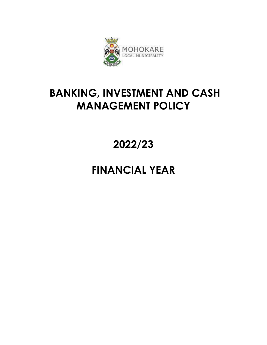

# **BANKING, INVESTMENT AND CASH MANAGEMENT POLICY**

**2022/23**

# **FINANCIAL YEAR**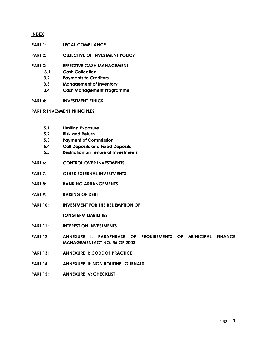#### **INDEX**

- **PART 1: LEGAL COMPLIANCE**
- **PART 2: OBJECTIVE OF INVESTMENT POLICY**
- **PART 3: EFFECTIVE CASH MANAGEMENT**
	- **3.1 Cash Collection**
	- **3.2 Payments to Creditors**
	- **3.3 Management of Inventory**
	- **3.4 Cash Management Programme**
- **PART 4: INVESTMENT ETHICS**

#### **PART 5: INVESMENT PRINCIPLES**

- **5.1 Limiting Exposure**
- **5.2 Risk and Return**
- **5.3 Payment of Commission**
- **5.4 Call Deposits and Fixed Deposits**
- **5.5 Restriction on Tenure of Investments**
- **PART 6: CONTROL OVER INVESTMENTS**
- **PART 7: OTHER EXTERNAL INVESTMENTS**
- **PART 8: BANKING ARRANGEMENTS**
- **PART 9: RAISING OF DEBT**
- **PART 10: INVESTMENT FOR THE REDEMPTION OF**

 **LONGTERM LIABILITIES**

- **PART 11: INTEREST ON INVESTMENTS**
- **PART 12: ANNEXURE I: PARAPHRASE OF REQUIREMENTS OF MUNICIPAL FINANCE MANAGEMENTACT NO. 56 OF 2003**
- **PART 13: ANNEXURE II: CODE OF PRACTICE**
- **PART 14: ANNEXURE III: NON ROUTINE JOURNALS**
- **PART 15: ANNEXURE IV: CHECKLIST**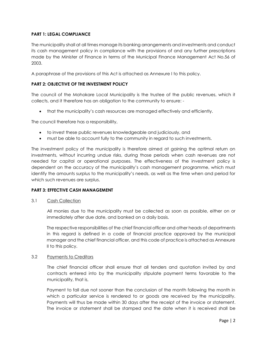## **PART 1: LEGAL COMPLIANCE**

The municipality shall at all times manage its banking arrangements and investments and conduct its cash management policy in compliance with the provisions of and any further prescriptions made by the Minister of Finance in terms of the Municipal Finance Management Act No.56 of 2003.

A paraphrase of the provisions of this Act is attached as Annexure I to this policy.

## **PART 2: OBJECTIVE OF THE INVESTMENT POLICY**

The council of the Mohokare Local Municipality is the trustee of the public revenues, which it collects, and it therefore has an obligation to the community to ensure: -

that the municipality's cash resources are managed effectively and efficiently.

The council therefore has a responsibility,

- to invest these public revenues knowledgeable and judiciously, and
- must be able to account fully to the community in regard to such investments.

The investment policy of the municipality is therefore aimed at gaining the optimal return on investments, without incurring undue risks, during those periods when cash revenues are not needed for capital or operational purposes. The effectiveness of the investment policy is dependent on the accuracy of the municipality's cash management programme, which must identify the amounts surplus to the municipality's needs, as well as the time when and period for which such revenues are surplus.

## **PART 3: EFFECTIVE CASH MANAGEMENT**

3.1 Cash Collection

All monies due to the municipality must be collected as soon as possible, either on or immediately after due date, and banked on a daily basis.

The respective responsibilities of the chief financial officer and other heads of departments in this regard is defined in a code of financial practice approved by the municipal manager and the chief financial officer, and this code of practice is attached as Annexure II to this policy.

#### 3.2 Payments to Creditors

The chief financial officer shall ensure that all tenders and quotation invited by and contracts entered into by the municipality stipulate payment terms favorable to the municipality, that is,

Payment to fall due not sooner than the conclusion of the month following the month in which a particular service is rendered to or goods are received by the municipality. Payments will thus be made within 30 days after the receipt of the invoice or statement. The invoice or statement shall be stamped and the date when it is received shall be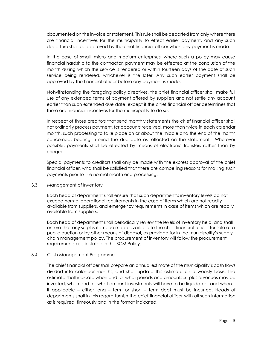documented on the invoice or statement. This rule shall be departed from only where there are financial incentives for the municipality to effect earlier payment, and any such departure shall be approved by the chief financial officer when any payment is made.

In the case of small, micro and medium enterprises, where such a policy may cause financial hardship to the contractor, payment may be effected at the conclusion of the month during which the service is rendered or within fourteen days of the date of such service being rendered, whichever is the later. Any such earlier payment shall be approved by the financial officer before any payment is made.

Notwithstanding the foregoing policy directives, the chief financial officer shall make full use of any extended terms of payment offered by suppliers and not settle any account earlier than such extended due date, except if the chief financial officer determines that there are financial incentives for the municipality to do so.

In respect of those creditors that send monthly statements the chief financial officer shall not ordinarily process payment, for accounts received, more than twice in each calendar month, such processing to take place on or about the middle and the end of the month concerned, bearing in mind the due date as reflected on the statement. Wherever possible, payments shall be effected by means of electronic transfers rather than by cheque.

Special payments to creditors shall only be made with the express approval of the chief financial officer, who shall be satisfied that there are compelling reasons for making such payments prior to the normal month end processing.

## 3.3 Management of Inventory

Each head of department shall ensure that such department's inventory levels do not exceed normal operational requirements in the case of items which are not readily available from suppliers, and emergency requirements in case of items which are readily available from suppliers.

 Each head of department shall periodically review the levels of inventory held, and shall ensure that any surplus items be made available to the chief financial officer for sale at a public auction or by other means of disposal, as provided for in the municipality's supply chain management policy. The procurement of inventory will follow the procurement requirements as stipulated in the SCM Policy.

## 3.4 Cash Management Programme

The chief financial officer shall prepare an annual estimate of the municipality's cash flows divided into calendar months, and shall update this estimate on a weekly basis. The estimate shall indicate when and for what periods and amounts surplus revenues may be invested, when and for what amount investments will have to be liquidated, and when – if applicable – either long – term or short – term debt must be incurred. Heads of departments shall in this regard furnish the chief financial officer with all such information as is required, timeously and in the format indicated.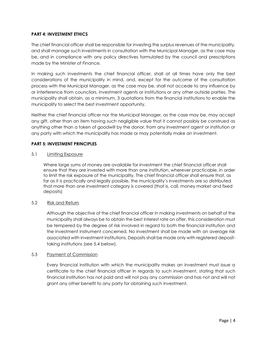## **PART 4: INVESTMENT ETHICS**

The chief financial officer shall be responsible for investing the surplus revenues of the municipality, and shall manage such investments in consultation with the Municipal Manager, as the case may be, and in compliance with any policy directives formulated by the council and prescriptions made by the Minister of Finance.

In making such investments the chief financial officer, shall at all times have only the best considerations of the municipality in mind, and, except for the outcome of the consultation process with the Municipal Manager, as the case may be, shall not accede to any influence by or interference from councilors, investment agents or institutions or any other outside parties. The municipality shall obtain, as a minimum, 3 quotations from the financial institutions to enable the municipality to select the best investment opportunity.

Neither the chief financial officer nor the Municipal Manager, as the case may be, may accept any gift, other than an item having such negligible value that it cannot possibly be construed as anything other than a token of goodwill by the donor, from any investment agent or institution or any party with which the municipality has made or may potentially make an investment.

## **PART 5: INVESTMENT PRINCIPLES**

## 5.1 Limiting Exposure

 Where large sums of money are available for investment the chief financial officer shall ensure that they are invested with more than one institution, wherever practicable, in order to limit the risk exposure of the municipality. The chief financial officer shall ensure that, as far as it is practically and legally possible, the municipality's investments are so distributed that more than one investment category is covered (that is, call, money market and fixed deposits)

# 5.2 Risk and Return

Although the objective of the chief financial officer in making investments on behalf of the municipality shall always be to obtain the best interest rate on offer, this consideration must be tempered by the degree of risk involved in regard to both the financial institution and the investment instrument concerned. No investment shall be made with an average risk associated with investment institutions. Deposits shall be made only with registered deposittaking institutions (see 5.4 below).

## 5.3 Payment of Commission

Every financial institution with which the municipality makes an investment must issue a certificate to the chief financial officer in regards to such investment, stating that such financial institution has not paid and will not pay any commission and has not and will not grant any other benefit to any party for obtaining such investment.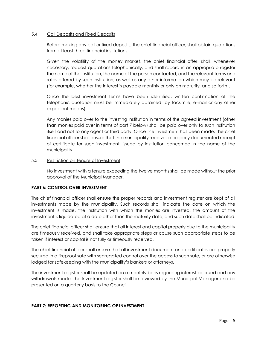#### 5.4 Call Deposits and Fixed Deposits

Before making any call or fixed deposits, the chief financial officer, shall obtain quotations from at least three financial institutions.

Given the volatility of the money market, the chief financial offer, shall, whenever necessary, request quotations telephonically, and shall record in an appropriate register the name of the institution, the name of the person contacted, and the relevant terms and rates offered by such institution, as well as any other information which may be relevant (for example, whether the interest is payable monthly or only on maturity, and so forth).

Once the best investment terms have been identified, written confirmation of the telephonic quotation must be immediately obtained (by facsimile, e-mail or any other expedient means).

Any monies paid over to the investing institution in terms of the agreed investment (other than monies paid over in terms of part 7 below) shall be paid over only to such institution itself and not to any agent or third party. Once the investment has been made, the chief financial officer shall ensure that the municipality receives a properly documented receipt of certificate for such investment, issued by institution concerned in the name of the municipality.

## 5.5 Restriction on Tenure of Investment

No investment with a tenure exceeding the twelve months shall be made without the prior approval of the Municipal Manager.

## **PART 6: CONTROL OVER INVESTMENT**

The chief financial officer shall ensure the proper records and investment register are kept of all investments made by the municipality. Such records shall indicate the date on which the investment is made, the institution with which the monies are invested, the amount of the investment is liquidated at a date other than the maturity date, and such date shall be indicated.

The chief financial officer shall ensure that all interest and capital properly due to the municipality are timeously received, and shall take appropriate steps or cause such appropriate steps to be taken if interest or capital is not fully or timeously received.

The chief financial officer shall ensure that all investment document and certificates are properly secured in a fireproof safe with segregated control over the access to such safe, or are otherwise lodged for safekeeping with the municipality's bankers or attorneys.

The investment register shall be updated on a monthly basis regarding interest accrued and any withdrawals made. The Investment register shall be reviewed by the Municipal Manager and be presented on a quarterly basis to the Council.

## **PART 7: REPORTING AND MONITORING OF INVESTMENT**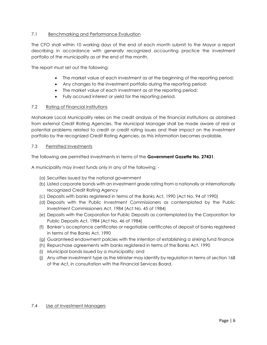# 7.1 Benchmarking and Performance Evaluation

The CFO shall within 10 working days of the end of each month submit to the Mayor a report describing in accordance with generally recognized accounting practice the investment portfolio of the municipality as at the end of the month.

The report must set out the following:

- The market value of each investment as at the beginning of the reporting period;
- Any changes to the investment portfolio during the reporting period;
- The market value of each investment as at the reporting period;
- Fully accrued interest or yield for the reporting period.

## 7.2 Rating of Financial Institutions

Mohokare Local Municipality relies on the credit analysis of the financial institutions as obtained from external Credit Rating Agencies. The Municipal Manager shall be made aware of real or potential problems related to credit or credit rating issues and their impact on the investment portfolio by the recognized Credit Rating Agencies, as this information becomes available.

## 7.3 Permitted Investments

The following are permitted investments in terms of the **Government Gazette No. 27431**.

A municipality may invest funds only in any of the following: -

- (a) Securities issued by the national government
- (b) Listed corporate bonds with an investment grade rating from a nationally or internationally recognized Credit Rating Agency
- (c) Deposits with banks registered in terms of the Banks Act, 1990 (Act No. 94 of 1990)
- (d) Deposits with the Public Investment Commissioners as contemplated by the Public Investment Commissioners Act, 1984 (Act No. 45 of 1984)
- (e) Deposits with the Corporation for Public Deposits as contemplated by the Corporation for Public Deposits Act, 1984 (Act No. 46 of 1984)
- (f) Banker's acceptance certificates or negotiable certificates of deposit of banks registered in terms of the Banks Act, 1990
- (g) Guaranteed endowment policies with the intention of establishing a sinking fund finance
- (h) Repurchase agreements with banks registered in terms of the Banks Act, 1990
- (i) Municipal bonds issued by a municipality; and
- (j) Any other investment type as the Minister may identify by regulation in terms of section 168 of the Act, in consultation with the Financial Services Board.

## 7.4 Use of Investment Managers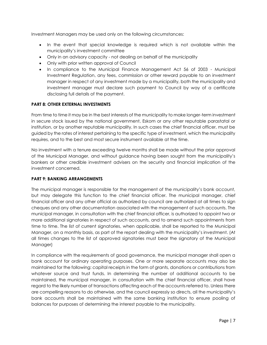Investment Managers may be used only on the following circumstances:

- In the event that special knowledge is required which is not available within the municipality's investment committee
- Only in an advisory capacity not dealing on behalf of the municipality
- Only with prior written approval of Council
- In compliance to the Municipal Finance Management Act 56 of 2003 Municipal Investment Regulation, any fees, commission or other reward payable to an investment manager in respect of any investment made by a municipality, both the municipality and investment manager must declare such payment to Council by way of a certificate disclosing full details of the payment.

## **PART 8: OTHER EXTERNAL INVESTMENTS**

From time to time it may be in the best interests of the municipality to make longer-term investment in secure stock issued by the national government, Eskom or any other reputable parastatal or institution, or by another reputable municipality. In such cases the chief financial officer, must be guided by the rates of interest pertaining to the specific type of investment, which the municipality requires, and to the best and most secure instrument available at the time.

No investment with a tenure exceeding twelve months shall be made without the prior approval of the Municipal Manager, and without guidance having been sought from the municipality's bankers or other credible investment advisers on the security and financial implication of the investment concerned.

## **PART 9: BANKING ARRANGEMENTS**

The municipal manager is responsible for the management of the municipality's bank account, but may delegate this function to the chief financial officer. The municipal manager, chief financial officer and any other official as authorized by council are authorized at all times to sign cheques and any other documentation associated with the management of such accounts. The municipal manager, in consultation with the chief financial officer, is authorized to appoint two or more additional signatories in respect of such accounts, and to amend such appointments from time to time. The list of current signatories, when applicable, shall be reported to the Municipal Manager, on a monthly basis, as part of the report dealing with the municipality's investment. (At all times changes to the list of approved signatories must bear the signatory of the Municipal Manager)

In compliance with the requirements of good governance, the municipal manager shall open a bank account for ordinary operating purposes. One or more separate accounts may also be maintained for the following: capital receipts in the form of grants, donations or contributions from whatever source and trust funds. In determining the number of additional accounts to be maintained, the municipal manager, in consultation with the chief financial officer, shall have regard to the likely number of transactions affecting each of the accounts referred to. Unless there are compelling reasons to do otherwise, and the council expressly so directs, all the municipality's bank accounts shall be maintained with the same banking institution to ensure pooling of balances for purposes of determining the interest payable to the municipality.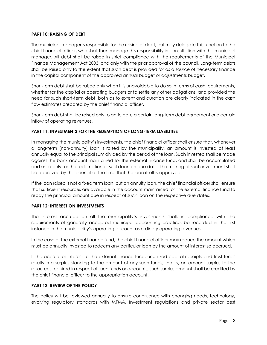## **PART 10: RAISING OF DEBT**

The municipal manager is responsible for the raising of debt, but may delegate this function to the chief financial officer, who shall then manage this responsibility in consultation with the municipal manager. All debt shall be raised in strict compliance with the requirements of the Municipal Finance Management Act 2003, and only with the prior approval of the council. Long-term debts shall be raised only to the extent that such debt is provided for as a source of necessary finance in the capital component of the approved annual budget or adjustments budget.

Short-term debt shall be raised only when it is unavoidable to do so in terms of cash requirements, whether for the capital or operating budgets or to settle any other obligations, and provided the need for such short-term debt, both as to extent and duration are clearly indicated in the cash flow estimates prepared by the chief financial officer.

Short-term debt shall be raised only to anticipate a certain long-term debt agreement or a certain inflow of operating revenues.

# **PART 11: INVESTMENTS FOR THE REDEMPTION OF LONG-TERM LIABILITIES**

In managing the municipality's investments, the chief financial officer shall ensure that, whenever a long-term (non-annuity) loan is raised by the municipality, an amount is invested at least annually equal to the principal sum divided by the period of the loan. Such invested shall be made against the bank account maintained for the external finance fund, and shall be accumulated and used only for the redemption of such loan on due date. The making of such investment shall be approved by the council at the time that the loan itself is approved.

If the loan raised is not a fixed term loan, but an annuity loan, the chief financial officer shall ensure that sufficient resources are available in the account maintained for the external finance fund to repay the principal amount due in respect of such loan on the respective due dates.

# **PART 12: INTEREST ON INVESTMENTS**

The interest accrued on all the municipality's investments shall, in compliance with the requirements of generally accepted municipal accounting practice, be recorded in the first instance in the municipality's operating account as ordinary operating revenues.

In the case of the external finance fund, the chief financial officer may reduce the amount which must be annually invested to redeem any particular loan by the amount of interest so accrued.

If the accrual of interest to the external finance fund, unutilized capital receipts and trust funds results in a surplus standing to the amount of any such funds, that is, an amount surplus to the resources required in respect of such funds or accounts, such surplus amount shall be credited by the chief financial officer to the appropriation account.

## **PART 13: REVIEW OF THE POLICY**

The policy will be reviewed annually to ensure congruence with changing needs, technology, evolving regulatory standards with MFMA, Investment regulations and private sector best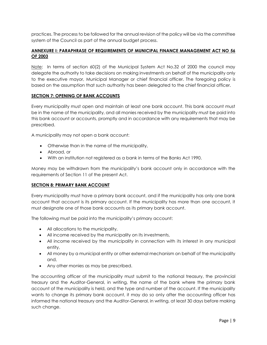practices. The process to be followed for the annual revision of the policy will be via the committee system of the Council as part of the annual budget process.

## **ANNEXURE I: PARAPHRASE OF REQUIREMENTS OF MUNICIPAL FINANCE MANAGEMENT ACT NO 56 OF 2003**

Note: In terms of section 60(2) of the Municipal System Act No.32 of 2000 the council may delegate the authority to take decisions on making investments on behalf of the municipality only to the executive mayor, Municipal Manager or chief financial officer. The foregoing policy is based on the assumption that such authority has been delegated to the chief financial officer.

## **SECTION 7: OPENING OF BANK ACCOUNTS**

Every municipality must open and maintain at least one bank account. This bank account must be in the name of the municipality, and all monies received by the municipality must be paid into this bank account or accounts, promptly and in accordance with any requirements that may be prescribed.

A municipality may not open a bank account:

- Otherwise than in the name of the municipality,
- Abroad, or
- With an institution not registered as a bank in terms of the Banks Act 1990.

Money may be withdrawn from the municipality's bank account only in accordance with the requirements of Section 11 of the present Act.

## **SECTION 8: PRIMARY BANK ACCOUNT**

Every municipality must have a primary bank account, and if the municipality has only one bank account that account is its primary account. If the municipality has more than one account, it must designate one of those bank accounts as its primary bank account.

The following must be paid into the municipality's primary account:

- All allocations to the municipality,
- All income received by the municipality on its investments,
- All income received by the municipality in connection with its interest in any municipal entity,
- All money by a municipal entity or other external mechanism on behalf of the municipality and,
- Any other monies as may be prescribed.

The accounting officer of the municipality must submit to the national treasury, the provincial treasury and the Auditor-General, in writing, the name of the bank where the primary bank account of the municipality is held, and the type and number of the account. If the municipality wants to change its primary bank account, it may do so only after the accounting officer has informed the national treasury and the Auditor-General, in writing, at least 30 days before making such change.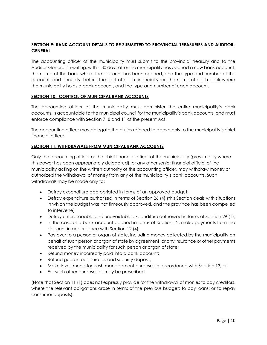# **SECTION 9: BANK ACCOUNT DETAILS TO BE SUBMITTED TO PROVINCIAL TREASURIES AND AUDITOR-GENERAL**

The accounting officer of the municipality must submit to the provincial treasury and to the Auditor-General, in writing, within 30 days after the municipality has opened a new bank account, the name of the bank where the account has been opened, and the type and number of the account; and annually, before the start of each financial year, the name of each bank where the municipality holds a bank account, and the type and number of each account.

## **SECTION 10: CONTROL OF MUNICIPAL BANK ACCOUNTS**

The accounting officer of the municipality must administer the entire municipality's bank accounts, is accountable to the municipal council for the municipality's bank accounts, and must enforce compliance with Section 7, 8 and 11 of the present Act.

The accounting officer may delegate the duties referred to above only to the municipality's chief financial officer.

## **SECTION 11: WITHDRAWALS FROM MUNICIPAL BANK ACCOUNTS**

Only the accounting officer or the chief financial officer of the municipality (presumably where this power has been appropriately delegated), or any other senior financial official of the municipality acting on the written authority of the accounting officer, may withdraw money or authorized the withdrawal of money from any of the municipality's bank accounts. Such withdrawals may be made only to:

- Defray expenditure appropriated in terms of an approved budget;
- Defray expenditure authorized in terms of Section 26 (4) (this Section deals with situations in which the budget was not timeously approved, and the province has been compelled to intervene)
- Defray unforeseeable and unavoidable expenditure authorized in terms of Section 29 (1);
- In the case of a bank account opened in terms of Section 12, make payments from the account in accordance with Section 12 (4);
- Pay over to a person or organ of state, including money collected by the municipality on behalf of such person or organ of state by agreement, or any insurance or other payments received by the municipality for such person or organ of state;
- Refund money incorrectly paid into a bank account;
- Refund guarantees, sureties and security deposit;
- Make investments for cash management purposes in accordance with Section 13; or
- For such other purposes as may be prescribed.

(Note that Section 11 (1) does not expressly provide for the withdrawal of monies to pay creditors, where the relevant obligations arose in terms of the previous budget; to pay loans; or to repay consumer deposits).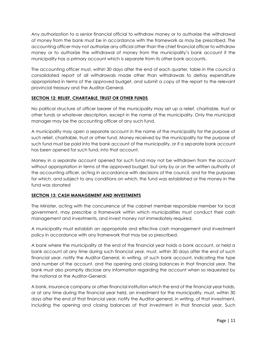Any authorization to a senior financial official to withdraw money or to authorize the withdrawal of money from the bank must be in accordance with the framework as may be prescribed. The accounting officer may not authorize any official other than the chief financial officer to withdraw money or to authorize the withdrawal of money from the municipality's bank account if the municipality has a primary account which is separate from its other bank accounts.

The accounting officer must, within 30 days after the end of each quarter, table in the council a consolidated report of all withdrawals made other than withdrawals to defray expenditure appropriated in terms of the approved budget, and submit a copy of the report to the relevant provincial treasury and the Auditor-General.

# **SECTION 12: RELIEF, CHARITABLE, TRUST OR OTHER FUNDS**

No political structure of officer bearer of the municipality may set up a relief, charitable, trust or other funds or whatever description, except in the name of the municipality. Only the municipal manager may be the accounting officer of any such fund.

A municipality may open a separate account in the name of the municipality for the purpose of such relief, charitable, trust or other fund. Money received by the municipality for the purpose of such fund must be paid into the bank account of the municipality, or if a separate bank account has been opened for such fund, into that account.

Money in a separate account opened for such fund may not be withdrawn from the account without appropriation in terms of the approved budget, but only by or on the written authority of the accounting officer, acting in accordance with decisions of the council, and for the purposes for which, and subject to any conditions on which, the fund was established or the money in the fund was donated

# **SECTION 13: CASH MANAGEMENT AND INVESTMENTS**

The Minister, acting with the concurrence of the cabinet member responsible member for local government, may prescribe a framework within which municipalities must conduct their cash management and investments, and invest money not immediately required.

A municipality must establish an appropriate and effective cash management and investment policy in accordance with any framework that may be so prescribed.

A bank where the municipality at the end of the financial year holds a bank account, or held a bank account at any time during such financial year, must, within 30 days after the end of such financial year, notify the Auditor-General, in writing, of such bank account, indicating the type and number of the account, and the opening and closing balances in that financial year. The bank must also promptly disclose any information regarding the account when so requested by the national or the Auditor-General.

A bank, insurance company or other financial institution which the end of the financial year holds, or at any time during the financial year held, an investment for the municipality, must, within 30 days after the end of that financial year, notify the Auditor-general, in writing, of that investment, including the opening and closing balances of that investment in that financial year. Such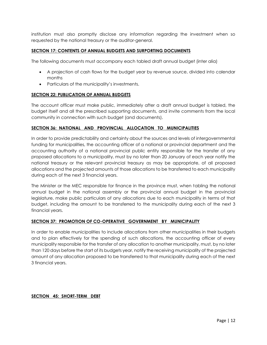institution must also promptly disclose any information regarding the investment when so requested by the national treasury or the auditor-general.

## **SECTION 17: CONTENTS OF ANNUAL BUDGETS AND SURPORTING DOCUMENTS**

The following documents must accompany each tabled draft annual budget (inter alia)

- A projection of cash flows for the budget year by revenue source, divided into calendar months
- Particulars of the municipality's investments.

## **SECTION 22: PUBLICATION OF ANNUAL BUDGETS**

The account officer must make public, immediately after a draft annual budget is tabled, the budget itself and all the prescribed supporting documents, and invite comments from the local community in connection with such budget (and documents).

## **SECTION 36: NATIONAL AND PROVINCIAL ALLOCATION TO MUNICIPALITIES**

In order to provide predictability and certainty about the sources and levels of intergovernmental funding for municipalities, the accounting officer of a national or provincial department and the accounting authority of a national provincial public entity responsible for the transfer of any proposed allocations to a municipality, must by no later than 20 January of each year notify the national treasury or the relevant provincial treasury as may be appropriate, of all proposed allocations and the projected amounts of those allocations to be transferred to each municipality during each of the next 3 financial years.

The Minister or the MEC responsible for finance in the province must, when tabling the national annual budget in the national assembly or the provincial annual budget in the provincial legislature, make public particulars of any allocations due to each municipality in terms of that budget, including the amount to be transferred to the municipality during each of the next 3 financial years.

## **SECTION 37: PROMOTION OF CO-OPERATIVE GOVERNMENT BY MUNICIPALITY**

In order to enable municipalities to include allocations from other municipalities in their budgets and to plan effectively for the spending of such allocations, the accounting officer of every municipality responsible for the transfer of any allocation to another municipality, must, by no later than 120 days before the start of its budgets year, notify the receiving municipality of the projected amount of any allocation proposed to be transferred to that municipality during each of the next 3 financial years.

## **SECTION 45: SHORT-TERM DEBT**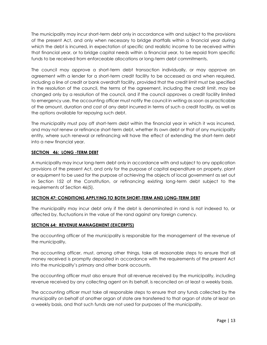The municipality may incur short-term debt only in accordance with and subject to the provisions of the present Act, and only when necessary to bridge shortfalls within a financial year during which the debt is incurred, in expectation of specific and realistic income to be received within that financial year, or to bridge capital needs within a financial year, to be repaid from specific funds to be received from enforceable allocations or long-term debt commitments.

The council may approve a short-term debt transaction individually, or may approve an agreement with a lender for a short-term credit facility to be accessed as and when required, including a line of credit or bank overdraft facility, provided that the credit limit must be specified in the resolution of the council, the terms of the agreement, including the credit limit, may be changed only by a resolution of the council, and if the council approves a credit facility limited to emergency use, the accounting officer must notify the council in writing as soon as practicable of the amount, duration and cost of any debt incurred in terms of such a credit facility, as well as the options available for repaying such debt.

The municipality must pay off short-term debt within the financial year in which it was incurred, and may not renew or refinance short-term debt, whether its own debt or that of any municipality entity, where such renewal or refinancing will have the effect of extending the short-term debt into a new financial year.

# **SECTION 46: LONG -TERM DEBT**

A municipality may incur long-term debt only in accordance with and subject to any application provisions of the present Act, and only for the purpose of capital expenditure on property, plant or equipment to be used for the purpose of achieving the objects of local government as set out in Section 152 of the Constitution, or refinancing existing long-term debt subject to the requirements of Section 46(5).

# **SECTION 47: CONDITIONS APPLYING TO BOTH SHORT-TERM AND LONG-TERM DEBT**

The municipality may incur debt only if the debt is denominated in rand is not indexed to, or affected by, fluctuations in the value of the rand against any foreign currency.

# **SECTION 64: REVENUE MANAGEMENT (EXCERPTS)**

The accounting officer of the municipality is responsible for the management of the revenue of the municipality.

The accounting officer, must, among other things, take all reasonable steps to ensure that all money received is promptly deposited in accordance with the requirements of the present Act into the municipality's primary and other bank accounts.

The accounting officer must also ensure that all revenue received by the municipality, including revenue received by any collecting agent on its behalf, is reconciled on at least a weekly basis.

The accounting officer must take all responsible steps to ensure that any funds collected by the municipality on behalf of another organ of state are transferred to that organ of state at least on a weekly basis, and that such funds are not used for purposes of the municipality.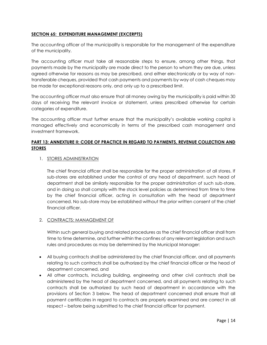## **SECTION 65: EXPENDITURE MANAGEMENT (EXCERPTS)**

The accounting officer of the municipality is responsible for the management of the expenditure of the municipality.

The accounting officer must take all reasonable steps to ensure, among other things, that payments made by the municipality are made direct to the person to whom they are due, unless agreed otherwise for reasons as may be prescribed, and either electronically or by way of nontransferable cheques, provided that cash payments and payments by way of cash cheques may be made for exceptional reasons only, and only up to a prescribed limit.

The accounting officer must also ensure that all money owing by the municipality is paid within 30 days of receiving the relevant invoice or statement, unless prescribed otherwise for certain categories of expenditure.

The accounting officer must further ensure that the municipality's available working capital is managed effectively and economically in terms of the prescribed cash management and investment framework.

# **PART 13: ANNEXTURE II: CODE OF PRACTICE IN REGARD TO PAYMENTS, REVENUE COLLECTION AND STORES**

## 1. STORES ADMINISTRATION

The chief financial officer shall be responsible for the proper administration of all stores. If sub-stores are established under the control of any head of department, such head of department shall be similarly responsible for the proper administration of such sub-store, and in doing so shall comply with the stock level policies as determined from time to time by the chief financial officer, acting in consultation with the head of department concerned. No sub-store may be established without the prior written consent of the chief financial officer.

## 2. CONTRACTS: MANAGEMENT OF

Within such general buying and related procedures as the chief financial officer shall from time to time determine, and further within the confines of any relevant legislation and such rules and procedures as may be determined by the Municipal Manager:

- All buying contracts shall be administered by the chief financial officer, and all payments relating to such contracts shall be authorized by the chief financial officer or the head of department concerned, and
- All other contracts, including building, engineering and other civil contracts shall be administered by the head of department concerned, and all payments relating to such contracts shall be authorized by such head of department in accordance with the provisions of Section 3 below. The head of department concerned shall ensure that all payment certificates in regard to contracts are properly examined and are correct in all respect – before being submitted to the chief financial officer for payment.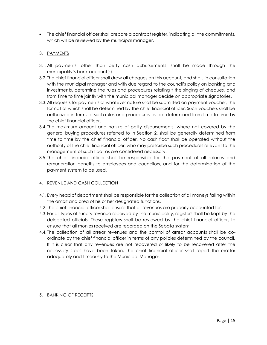The chief financial officer shall prepare a contract register, indicating all the commitments, which will be reviewed by the municipal manager,

# 3. PAYMENTS

- 3.1.All payments, other than petty cash disbursements, shall be made through the municipality's bank account(s)
- 3.2. The chief financial officer shall draw all cheques on this account, and shall, in consultation with the municipal manager and with due regard to the council's policy on banking and investments, determine the rules and procedures relating t the singing of cheques, and from time to time jointly with the municipal manager decide on appropriate signatories.
- 3.3.All requests for payments of whatever nature shall be submitted on payment voucher, the format of which shall be determined by the chief financial officer. Such vouchers shall be authorized in terms of such rules and procedures as are determined from time to time by the chief financial officer.
- 3.4. The maximum amount and nature of petty disbursements, where not covered by the general buying procedures referred to in Section 2, shall be generally determined from time to time by the chief financial officer. No cash float shall be operated without the authority of the chief financial officer, who may prescribe such procedures relevant to the management of such float as are considered necessary.
- 3.5. The chief financial officer shall be responsible for the payment of all salaries and remuneration benefits to employees and councilors, and for the determination of the payment system to be used.

# 4. REVENUE AND CASH COLLECTION

- 4.1. Every head of department shall be responsible for the collection of all moneys falling within the ambit and area of his or her designated functions.
- 4.2. The chief financial officer shall ensure that all revenues are properly accounted for.
- 4.3. For all types of sundry revenue received by the municipality, registers shall be kept by the delegated officials. These registers shall be reviewed by the chief financial officer, to ensure that all monies received are recorded on the Sebata system.
- 4.4. The collection of all arrear revenues and the control of arrear accounts shall be coordinate by the chief financial officer in terms of any policies determined by the council. If it is clear that any revenues are not recovered or likely to be recovered after the necessary steps have been taken, the chief financial officer shall report the matter adequately and timeously to the Municipal Manager.

# 5. BANKING OF RECEIPTS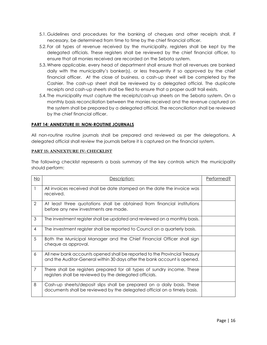- 5.1. Guidelines and procedures for the banking of cheques and other receipts shall, if necessary, be determined from time to time by the chief financial officer.
- 5.2. For all types of revenue received by the municipality, registers shall be kept by the delegated officials. These registers shall be reviewed by the chief financial officer, to ensure that all monies received are recorded on the Sebata system.
- 5.3.Where applicable, every head of department shall ensure that all revenues are banked daily with the municipality's banker(s), or less frequently if so approved by the chief financial officer. At the close of business, a cash-up sheet will be completed by the Cashier. The cash-up sheet shall be reviewed by a delegated official. The duplicate receipts and cash-up sheets shall be filed to ensure that a proper audit trail exists.
- 5.4. The municipality must capture the receipts/cash-up sheets on the Sebata system. On a monthly basis reconciliation between the monies received and the revenue captured on the system shall be prepared by a delegated official. The reconciliation shall be reviewed by the chief financial officer.

## **PART 14: ANNEXTURE III: NON-ROUTINE JOURNALS**

All non-routine routine journals shall be prepared and reviewed as per the delegations. A delegated official shall review the journals before it is captured on the financial system.

## **PART 15: ANNEXTURE IV: CHECKLIST**

The following checklist represents a basis summary of the key controls which the municipality should perform:

| No | Description:                                                                                                                                          | Performed? |
|----|-------------------------------------------------------------------------------------------------------------------------------------------------------|------------|
|    | All invoices received shall be date stamped on the date the invoice was<br>received.                                                                  |            |
| 2  | At least three quotations shall be obtained from financial institutions<br>before any new investments are made.                                       |            |
| 3  | The investment register shall be updated and reviewed on a monthly basis.                                                                             |            |
| 4  | The investment register shall be reported to Council on a quarterly basis.                                                                            |            |
| 5  | Both the Municipal Manager and the Chief Financial Officer shall sign<br>cheque as approval.                                                          |            |
| 6  | All new bank accounts opened shall be reported to the Provincial Treasury<br>and the Auditor-General within 30 days after the bank account is opened. |            |
| 7  | There shall be registers prepared for all types of sundry income. These<br>registers shall be reviewed by the delegated officials.                    |            |
| 8  | Cash-up sheets/deposit slips shall be prepared on a daily basis. These<br>documents shall be reviewed by the delegated official on a timely basis.    |            |